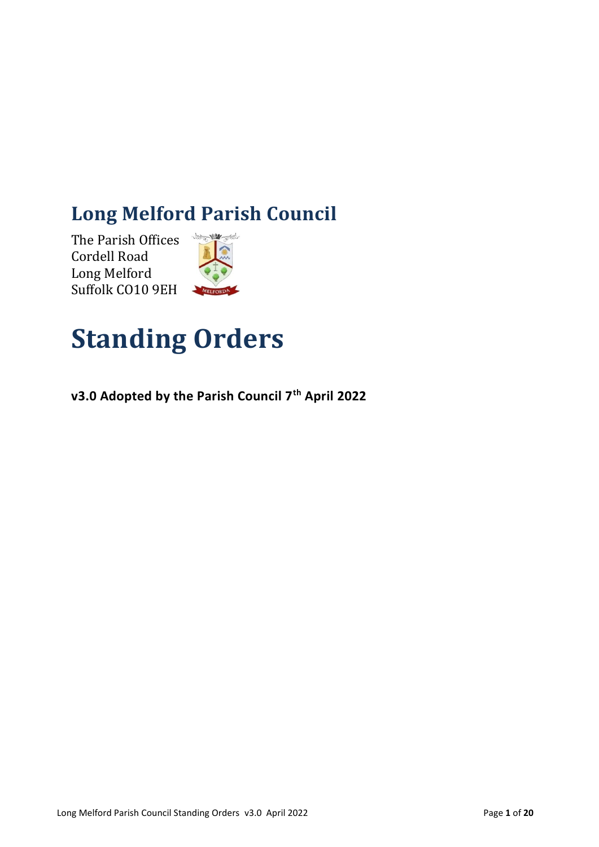# **Long Melford Parish Council**

The Parish Offices Cordell Road Long Melford Suffolk CO10 9EH



# **Standing Orders**

**v3.0 Adopted by the Parish Council 7th April 2022**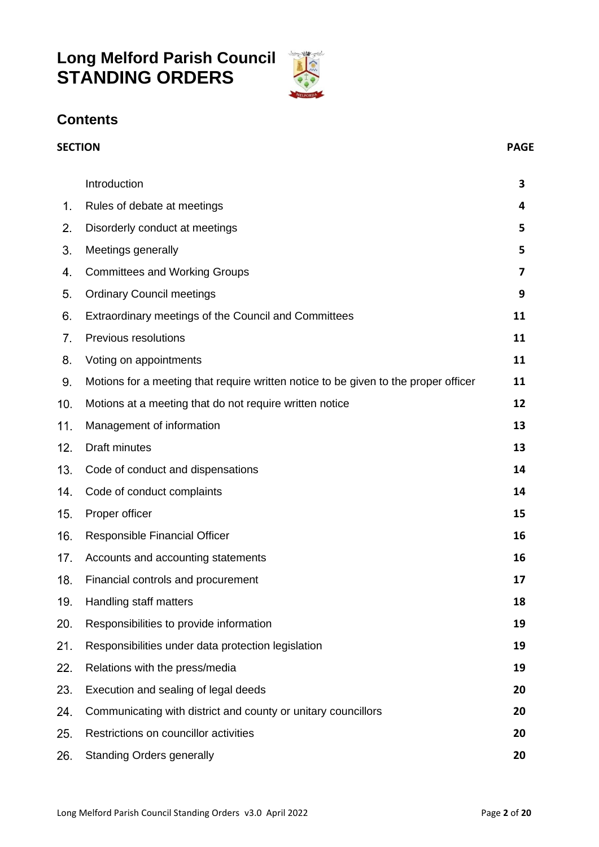# **Long Melford Parish Council STANDING ORDERS**



# **Contents**

<span id="page-1-0"></span>

|     | <b>SECTION</b>                                                                      |    |
|-----|-------------------------------------------------------------------------------------|----|
|     | Introduction                                                                        | 3  |
| 1.  | Rules of debate at meetings                                                         | 4  |
| 2.  | Disorderly conduct at meetings                                                      | 5  |
| 3.  | Meetings generally                                                                  | 5  |
| 4.  | <b>Committees and Working Groups</b>                                                | 7  |
| 5.  | <b>Ordinary Council meetings</b>                                                    | 9  |
| 6.  | Extraordinary meetings of the Council and Committees                                | 11 |
| 7.  | Previous resolutions                                                                | 11 |
| 8.  | Voting on appointments                                                              | 11 |
| 9.  | Motions for a meeting that require written notice to be given to the proper officer | 11 |
| 10. | Motions at a meeting that do not require written notice                             | 12 |
| 11. | Management of information                                                           | 13 |
| 12. | Draft minutes                                                                       | 13 |
| 13. | Code of conduct and dispensations                                                   | 14 |
| 14. | Code of conduct complaints                                                          | 14 |
| 15. | Proper officer                                                                      | 15 |
| 16. | Responsible Financial Officer                                                       | 16 |
| 17. | Accounts and accounting statements                                                  | 16 |
| 18. | Financial controls and procurement                                                  | 17 |
| 19. | Handling staff matters                                                              | 18 |
| 20. | Responsibilities to provide information                                             | 19 |
| 21. | Responsibilities under data protection legislation                                  | 19 |
| 22. | Relations with the press/media                                                      | 19 |
| 23. | Execution and sealing of legal deeds                                                | 20 |
| 24. | Communicating with district and county or unitary councillors                       | 20 |
| 25. | Restrictions on councillor activities                                               | 20 |
| 26. | <b>Standing Orders generally</b>                                                    | 20 |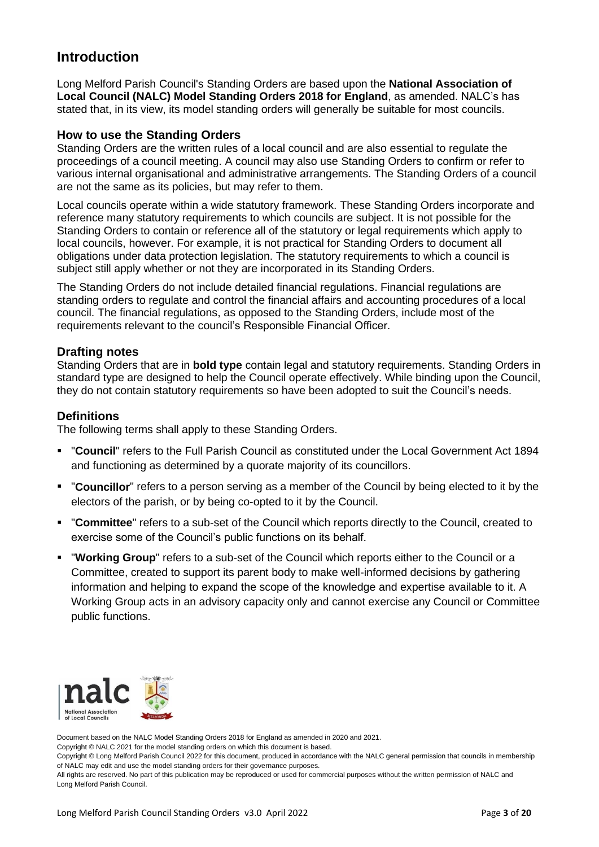# **Introduction**

Long Melford Parish Council's Standing Orders are based upon the **National Association of Local Council (NALC) Model Standing Orders 2018 for England**, as amended. NALC's has stated that, in its view, its model standing orders will generally be suitable for most councils.

### **How to use the Standing Orders**

Standing Orders are the written rules of a local council and are also essential to regulate the proceedings of a council meeting. A council may also use Standing Orders to confirm or refer to various internal organisational and administrative arrangements. The Standing Orders of a council are not the same as its policies, but may refer to them.

Local councils operate within a wide statutory framework. These Standing Orders incorporate and reference many statutory requirements to which councils are subject. It is not possible for the Standing Orders to contain or reference all of the statutory or legal requirements which apply to local councils, however. For example, it is not practical for Standing Orders to document all obligations under data protection legislation. The statutory requirements to which a council is subject still apply whether or not they are incorporated in its Standing Orders.

The Standing Orders do not include detailed financial regulations. Financial regulations are standing orders to regulate and control the financial affairs and accounting procedures of a local council. The financial regulations, as opposed to the Standing Orders, include most of the requirements relevant to the council's Responsible Financial Officer.

### **Drafting notes**

Standing Orders that are in **bold type** contain legal and statutory requirements. Standing Orders in standard type are designed to help the Council operate effectively. While binding upon the Council, they do not contain statutory requirements so have been adopted to suit the Council's needs.

### **Definitions**

The following terms shall apply to these Standing Orders.

- "**Council**" refers to the Full Parish Council as constituted under the Local Government Act 1894 and functioning as determined by a quorate majority of its councillors.
- "**Councillor**" refers to a person serving as a member of the Council by being elected to it by the electors of the parish, or by being co-opted to it by the Council.
- "**Committee**" refers to a sub-set of the Council which reports directly to the Council, created to exercise some of the Council's public functions on its behalf.
- "**Working Group**" refers to a sub-set of the Council which reports either to the Council or a Committee, created to support its parent body to make well-informed decisions by gathering information and helping to expand the scope of the knowledge and expertise available to it. A Working Group acts in an advisory capacity only and cannot exercise any Council or Committee public functions.



Document based on the NALC Model Standing Orders 2018 for England as amended in 2020 and 2021.

Copyright © NALC 2021 for the model standing orders on which this document is based.

Copyright © Long Melford Parish Council 2022 for this document, produced in accordance with the NALC general permission that councils in membership of NALC may edit and use the model standing orders for their governance purposes.

All rights are reserved. No part of this publication may be reproduced or used for commercial purposes without the written permission of NALC and Long Melford Parish Council.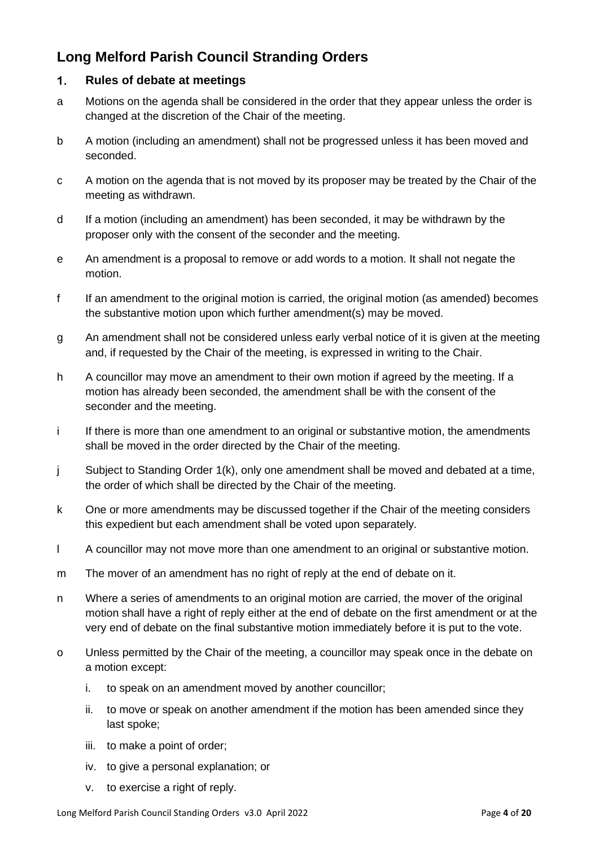# <span id="page-3-0"></span>**Long Melford Parish Council Stranding Orders**

#### $1.$ **Rules of debate at meetings**

- a Motions on the agenda shall be considered in the order that they appear unless the order is changed at the discretion of the Chair of the meeting.
- b A motion (including an amendment) shall not be progressed unless it has been moved and seconded.
- c A motion on the agenda that is not moved by its proposer may be treated by the Chair of the meeting as withdrawn.
- d If a motion (including an amendment) has been seconded, it may be withdrawn by the proposer only with the consent of the seconder and the meeting.
- e An amendment is a proposal to remove or add words to a motion. It shall not negate the motion.
- f If an amendment to the original motion is carried, the original motion (as amended) becomes the substantive motion upon which further amendment(s) may be moved.
- g An amendment shall not be considered unless early verbal notice of it is given at the meeting and, if requested by the Chair of the meeting, is expressed in writing to the Chair.
- h A councillor may move an amendment to their own motion if agreed by the meeting. If a motion has already been seconded, the amendment shall be with the consent of the seconder and the meeting.
- i If there is more than one amendment to an original or substantive motion, the amendments shall be moved in the order directed by the Chair of the meeting.
- j Subject to Standing Order 1(k), only one amendment shall be moved and debated at a time, the order of which shall be directed by the Chair of the meeting.
- k One or more amendments may be discussed together if the Chair of the meeting considers this expedient but each amendment shall be voted upon separately.
- l A councillor may not move more than one amendment to an original or substantive motion.
- m The mover of an amendment has no right of reply at the end of debate on it.
- n Where a series of amendments to an original motion are carried, the mover of the original motion shall have a right of reply either at the end of debate on the first amendment or at the very end of debate on the final substantive motion immediately before it is put to the vote.
- o Unless permitted by the Chair of the meeting, a councillor may speak once in the debate on a motion except:
	- i. to speak on an amendment moved by another councillor;
	- ii. to move or speak on another amendment if the motion has been amended since they last spoke;
	- iii. to make a point of order;
	- iv. to give a personal explanation; or
	- v. to exercise a right of reply.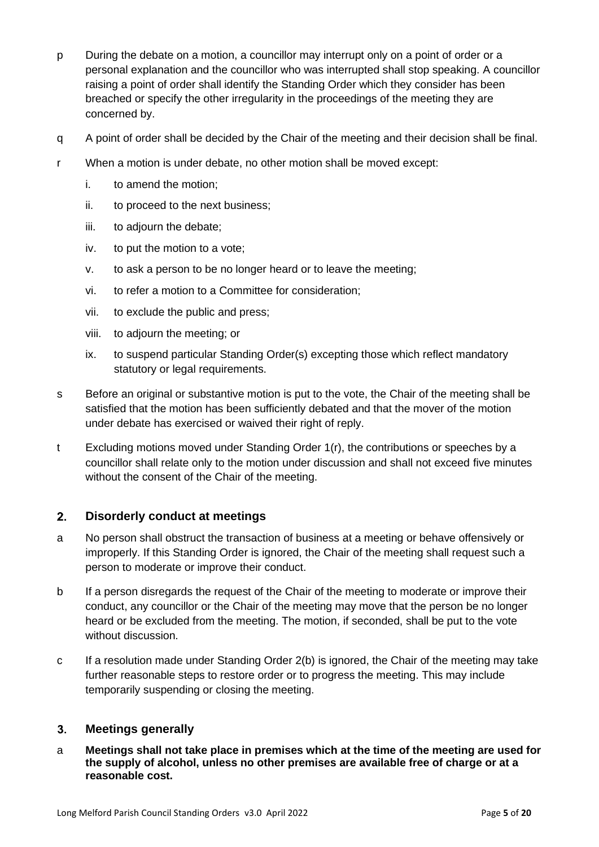- p During the debate on a motion, a councillor may interrupt only on a point of order or a personal explanation and the councillor who was interrupted shall stop speaking. A councillor raising a point of order shall identify the Standing Order which they consider has been breached or specify the other irregularity in the proceedings of the meeting they are concerned by.
- q A point of order shall be decided by the Chair of the meeting and their decision shall be final.
- r When a motion is under debate, no other motion shall be moved except:
	- i. to amend the motion;
	- ii. to proceed to the next business;
	- iii. to adjourn the debate;
	- iv. to put the motion to a vote;
	- v. to ask a person to be no longer heard or to leave the meeting;
	- vi. to refer a motion to a Committee for consideration;
	- vii. to exclude the public and press;
	- viii. to adjourn the meeting; or
	- ix. to suspend particular Standing Order(s) excepting those which reflect mandatory statutory or legal requirements.
- s Before an original or substantive motion is put to the vote, the Chair of the meeting shall be satisfied that the motion has been sufficiently debated and that the mover of the motion under debate has exercised or waived their right of reply.
- t Excluding motions moved under Standing Order 1(r), the contributions or speeches by a councillor shall relate only to the motion under discussion and shall not exceed five minutes without the consent of the Chair of the meeting.

#### <span id="page-4-0"></span> $2.$ **Disorderly conduct at meetings**

- a No person shall obstruct the transaction of business at a meeting or behave offensively or improperly. If this Standing Order is ignored, the Chair of the meeting shall request such a person to moderate or improve their conduct.
- b If a person disregards the request of the Chair of the meeting to moderate or improve their conduct, any councillor or the Chair of the meeting may move that the person be no longer heard or be excluded from the meeting. The motion, if seconded, shall be put to the vote without discussion.
- c If a resolution made under Standing Order 2(b) is ignored, the Chair of the meeting may take further reasonable steps to restore order or to progress the meeting. This may include temporarily suspending or closing the meeting.

#### $3<sub>l</sub>$ **Meetings generally**

a **Meetings shall not take place in premises which at the time of the meeting are used for the supply of alcohol, unless no other premises are available free of charge or at a reasonable cost.**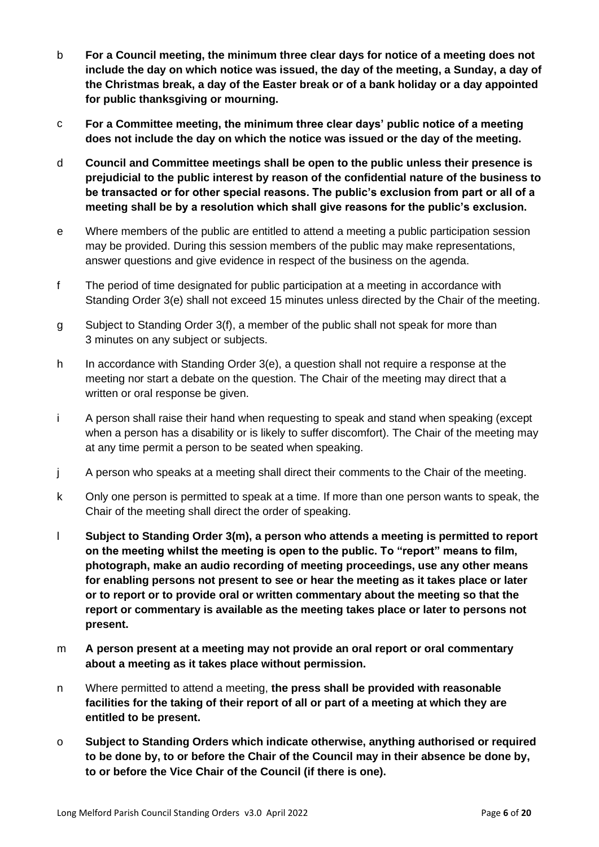- b **For a Council meeting, the minimum three clear days for notice of a meeting does not include the day on which notice was issued, the day of the meeting, a Sunday, a day of the Christmas break, a day of the Easter break or of a bank holiday or a day appointed for public thanksgiving or mourning.**
- c **For a Committee meeting, the minimum three clear days' public notice of a meeting does not include the day on which the notice was issued or the day of the meeting.**
- d **Council and Committee meetings shall be open to the public unless their presence is prejudicial to the public interest by reason of the confidential nature of the business to be transacted or for other special reasons. The public's exclusion from part or all of a meeting shall be by a resolution which shall give reasons for the public's exclusion.**
- e Where members of the public are entitled to attend a meeting a public participation session may be provided. During this session members of the public may make representations, answer questions and give evidence in respect of the business on the agenda.
- f The period of time designated for public participation at a meeting in accordance with Standing Order 3(e) shall not exceed 15 minutes unless directed by the Chair of the meeting.
- g Subject to Standing Order 3(f), a member of the public shall not speak for more than 3 minutes on any subject or subjects.
- h In accordance with Standing Order 3(e), a question shall not require a response at the meeting nor start a debate on the question. The Chair of the meeting may direct that a written or oral response be given.
- i A person shall raise their hand when requesting to speak and stand when speaking (except when a person has a disability or is likely to suffer discomfort). The Chair of the meeting may at any time permit a person to be seated when speaking.
- j A person who speaks at a meeting shall direct their comments to the Chair of the meeting.
- k Only one person is permitted to speak at a time. If more than one person wants to speak, the Chair of the meeting shall direct the order of speaking.
- l **Subject to Standing Order 3(m), a person who attends a meeting is permitted to report on the meeting whilst the meeting is open to the public. To "report" means to film, photograph, make an audio recording of meeting proceedings, use any other means for enabling persons not present to see or hear the meeting as it takes place or later or to report or to provide oral or written commentary about the meeting so that the report or commentary is available as the meeting takes place or later to persons not present.**
- m **A person present at a meeting may not provide an oral report or oral commentary about a meeting as it takes place without permission.**
- n Where permitted to attend a meeting, **the press shall be provided with reasonable facilities for the taking of their report of all or part of a meeting at which they are entitled to be present.**
- o **Subject to Standing Orders which indicate otherwise, anything authorised or required to be done by, to or before the Chair of the Council may in their absence be done by, to or before the Vice Chair of the Council (if there is one).**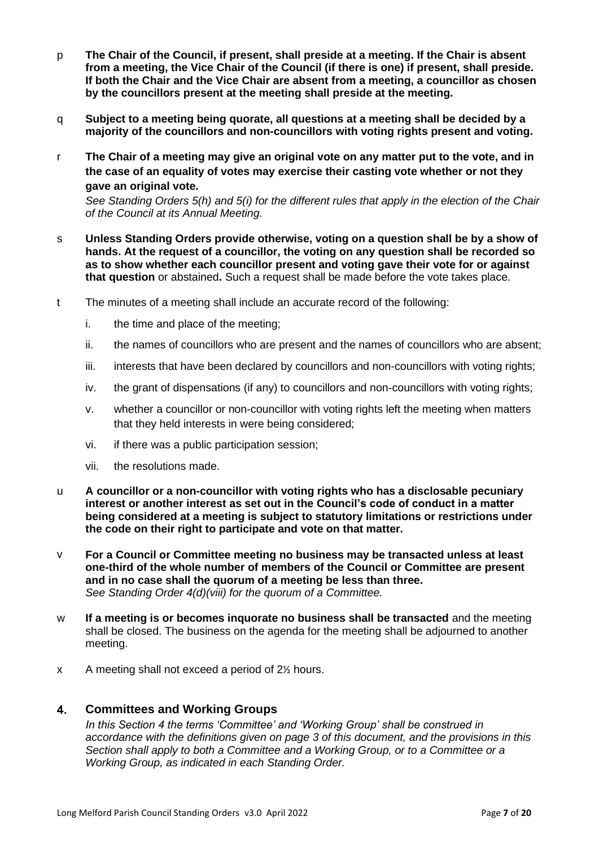- p **The Chair of the Council, if present, shall preside at a meeting. If the Chair is absent from a meeting, the Vice Chair of the Council (if there is one) if present, shall preside. If both the Chair and the Vice Chair are absent from a meeting, a councillor as chosen by the councillors present at the meeting shall preside at the meeting.**
- q **Subject to a meeting being quorate, all questions at a meeting shall be decided by a majority of the councillors and non-councillors with voting rights present and voting.**
- r **The Chair of a meeting may give an original vote on any matter put to the vote, and in the case of an equality of votes may exercise their casting vote whether or not they gave an original vote.**

*See Standing Orders 5(h) and 5(i) for the different rules that apply in the election of the Chair of the Council at its Annual Meeting.*

- s **Unless Standing Orders provide otherwise, voting on a question shall be by a show of hands. At the request of a councillor, the voting on any question shall be recorded so as to show whether each councillor present and voting gave their vote for or against that question** or abstained**.** Such a request shall be made before the vote takes place.
- t The minutes of a meeting shall include an accurate record of the following:
	- i. the time and place of the meeting;
	- ii. the names of councillors who are present and the names of councillors who are absent;
	- iii. interests that have been declared by councillors and non-councillors with voting rights;
	- iv. the grant of dispensations (if any) to councillors and non-councillors with voting rights;
	- v. whether a councillor or non-councillor with voting rights left the meeting when matters that they held interests in were being considered;
	- vi. if there was a public participation session;
	- vii. the resolutions made.
- u **A councillor or a non-councillor with voting rights who has a disclosable pecuniary interest or another interest as set out in the Council's code of conduct in a matter being considered at a meeting is subject to statutory limitations or restrictions under the code on their right to participate and vote on that matter.**
- v **For a Council or Committee meeting no business may be transacted unless at least one-third of the whole number of members of the Council or Committee are present and in no case shall the quorum of a meeting be less than three.** *See Standing Order 4(d)(viii) for the quorum of a Committee.*
- w **If a meeting is or becomes inquorate no business shall be transacted** and the meeting shall be closed. The business on the agenda for the meeting shall be adjourned to another meeting.
- x A meeting shall not exceed a period of 2½ hours.

#### <span id="page-6-0"></span>4. **Committees and Working Groups**

*In this Section 4 the terms 'Committee' and 'Working Group' shall be construed in accordance with the definitions given on page 3 of this document, and the provisions in this Section shall apply to both a Committee and a Working Group, or to a Committee or a Working Group, as indicated in each Standing Order.*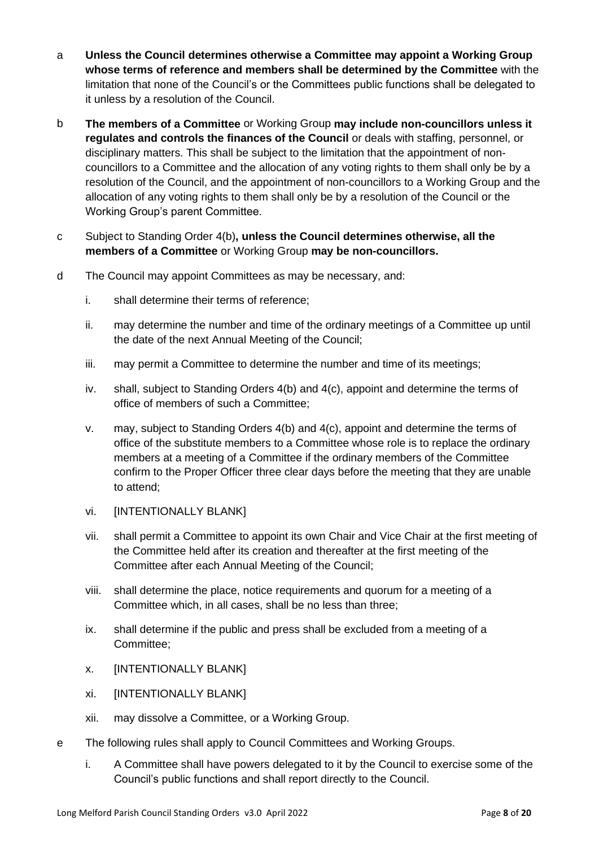- a **Unless the Council determines otherwise a Committee may appoint a Working Group whose terms of reference and members shall be determined by the Committee** with the limitation that none of the Council's or the Committees public functions shall be delegated to it unless by a resolution of the Council.
- b **The members of a Committee** or Working Group **may include non-councillors unless it regulates and controls the finances of the Council** or deals with staffing, personnel, or disciplinary matters. This shall be subject to the limitation that the appointment of noncouncillors to a Committee and the allocation of any voting rights to them shall only be by a resolution of the Council, and the appointment of non-councillors to a Working Group and the allocation of any voting rights to them shall only be by a resolution of the Council or the Working Group's parent Committee.
- c Subject to Standing Order 4(b)**, unless the Council determines otherwise, all the members of a Committee** or Working Group **may be non-councillors.**
- d The Council may appoint Committees as may be necessary, and:
	- i. shall determine their terms of reference;
	- ii. may determine the number and time of the ordinary meetings of a Committee up until the date of the next Annual Meeting of the Council;
	- iii. may permit a Committee to determine the number and time of its meetings;
	- iv. shall, subject to Standing Orders 4(b) and 4(c), appoint and determine the terms of office of members of such a Committee;
	- v. may, subject to Standing Orders 4(b) and 4(c), appoint and determine the terms of office of the substitute members to a Committee whose role is to replace the ordinary members at a meeting of a Committee if the ordinary members of the Committee confirm to the Proper Officer three clear days before the meeting that they are unable to attend;
	- vi. [INTENTIONALLY BLANK]
	- vii. shall permit a Committee to appoint its own Chair and Vice Chair at the first meeting of the Committee held after its creation and thereafter at the first meeting of the Committee after each Annual Meeting of the Council;
	- viii. shall determine the place, notice requirements and quorum for a meeting of a Committee which, in all cases, shall be no less than three;
	- ix. shall determine if the public and press shall be excluded from a meeting of a Committee;
	- x. [INTENTIONALLY BLANK]
	- xi. [INTENTIONALLY BLANK]
	- xii. may dissolve a Committee, or a Working Group.
- e The following rules shall apply to Council Committees and Working Groups.
	- i. A Committee shall have powers delegated to it by the Council to exercise some of the Council's public functions and shall report directly to the Council.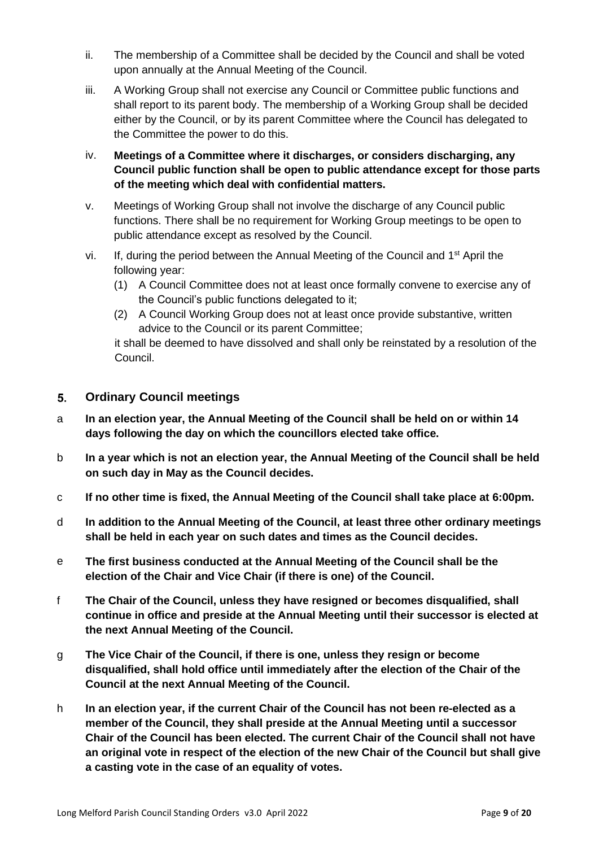- ii. The membership of a Committee shall be decided by the Council and shall be voted upon annually at the Annual Meeting of the Council.
- iii. A Working Group shall not exercise any Council or Committee public functions and shall report to its parent body. The membership of a Working Group shall be decided either by the Council, or by its parent Committee where the Council has delegated to the Committee the power to do this.
- iv. **Meetings of a Committee where it discharges, or considers discharging, any Council public function shall be open to public attendance except for those parts of the meeting which deal with confidential matters.**
- v. Meetings of Working Group shall not involve the discharge of any Council public functions. There shall be no requirement for Working Group meetings to be open to public attendance except as resolved by the Council.
- vi. If, during the period between the Annual Meeting of the Council and 1<sup>st</sup> April the following year:
	- (1) A Council Committee does not at least once formally convene to exercise any of the Council's public functions delegated to it;
	- (2) A Council Working Group does not at least once provide substantive, written advice to the Council or its parent Committee;

it shall be deemed to have dissolved and shall only be reinstated by a resolution of the Council.

#### <span id="page-8-0"></span> $5<sub>1</sub>$ **Ordinary Council meetings**

- a **In an election year, the Annual Meeting of the Council shall be held on or within 14 days following the day on which the councillors elected take office.**
- b **In a year which is not an election year, the Annual Meeting of the Council shall be held on such day in May as the Council decides.**
- c **If no other time is fixed, the Annual Meeting of the Council shall take place at 6:00pm.**
- d **In addition to the Annual Meeting of the Council, at least three other ordinary meetings shall be held in each year on such dates and times as the Council decides.**
- e **The first business conducted at the Annual Meeting of the Council shall be the election of the Chair and Vice Chair (if there is one) of the Council.**
- f **The Chair of the Council, unless they have resigned or becomes disqualified, shall continue in office and preside at the Annual Meeting until their successor is elected at the next Annual Meeting of the Council.**
- g **The Vice Chair of the Council, if there is one, unless they resign or become disqualified, shall hold office until immediately after the election of the Chair of the Council at the next Annual Meeting of the Council.**
- h **In an election year, if the current Chair of the Council has not been re-elected as a member of the Council, they shall preside at the Annual Meeting until a successor Chair of the Council has been elected. The current Chair of the Council shall not have an original vote in respect of the election of the new Chair of the Council but shall give a casting vote in the case of an equality of votes.**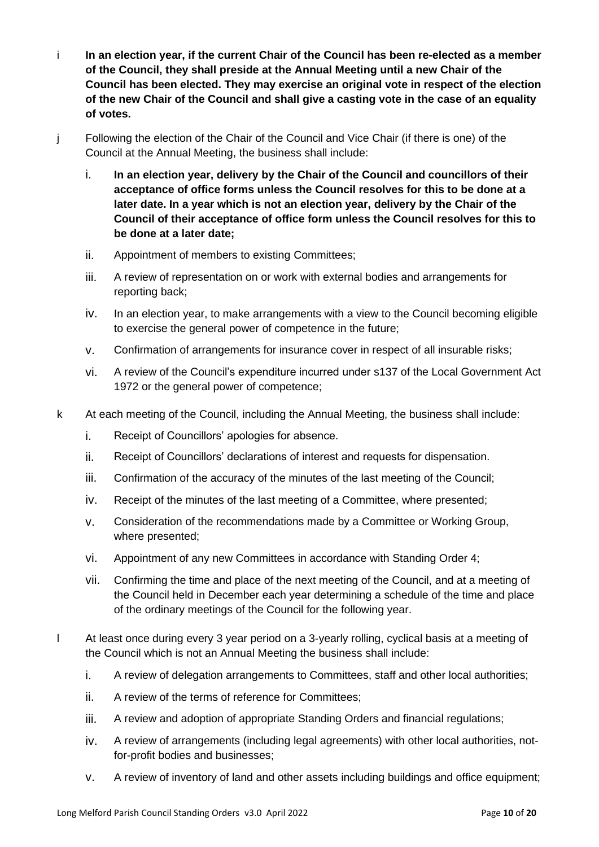- i **In an election year, if the current Chair of the Council has been re-elected as a member of the Council, they shall preside at the Annual Meeting until a new Chair of the Council has been elected. They may exercise an original vote in respect of the election of the new Chair of the Council and shall give a casting vote in the case of an equality of votes.**
- j Following the election of the Chair of the Council and Vice Chair (if there is one) of the Council at the Annual Meeting, the business shall include:
	- i. **In an election year, delivery by the Chair of the Council and councillors of their acceptance of office forms unless the Council resolves for this to be done at a later date. In a year which is not an election year, delivery by the Chair of the Council of their acceptance of office form unless the Council resolves for this to be done at a later date;**
	- ii. Appointment of members to existing Committees;
	- iii. A review of representation on or work with external bodies and arrangements for reporting back;
	- iv. In an election year, to make arrangements with a view to the Council becoming eligible to exercise the general power of competence in the future;
	- v. Confirmation of arrangements for insurance cover in respect of all insurable risks;
	- vi. A review of the Council's expenditure incurred under s137 of the Local Government Act 1972 or the general power of competence;
- k At each meeting of the Council, including the Annual Meeting, the business shall include:
	- i. Receipt of Councillors' apologies for absence.
	- ii. Receipt of Councillors' declarations of interest and requests for dispensation.
	- iii. Confirmation of the accuracy of the minutes of the last meeting of the Council;
	- iv. Receipt of the minutes of the last meeting of a Committee, where presented;
	- v. Consideration of the recommendations made by a Committee or Working Group, where presented;
	- vi. Appointment of any new Committees in accordance with Standing Order 4;
	- vii. Confirming the time and place of the next meeting of the Council, and at a meeting of the Council held in December each year determining a schedule of the time and place of the ordinary meetings of the Council for the following year.
- l At least once during every 3 year period on a 3-yearly rolling, cyclical basis at a meeting of the Council which is not an Annual Meeting the business shall include:
	- i. A review of delegation arrangements to Committees, staff and other local authorities;
	- ii. A review of the terms of reference for Committees;
	- iii. A review and adoption of appropriate Standing Orders and financial regulations;
	- iv. A review of arrangements (including legal agreements) with other local authorities, notfor-profit bodies and businesses;
	- v. A review of inventory of land and other assets including buildings and office equipment;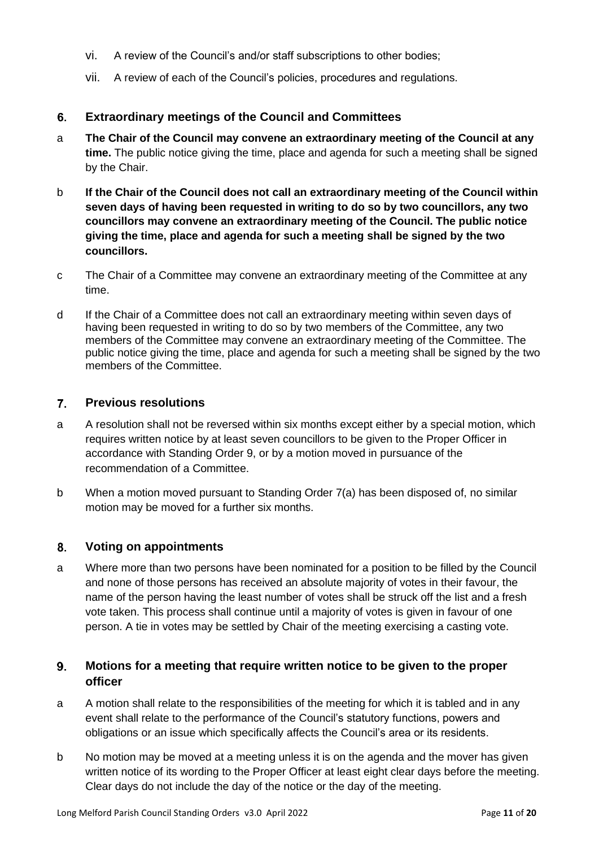- vi. A review of the Council's and/or staff subscriptions to other bodies;
- vii. A review of each of the Council's policies, procedures and regulations.

#### <span id="page-10-0"></span>6. **Extraordinary meetings of the Council and Committees**

- a **The Chair of the Council may convene an extraordinary meeting of the Council at any time.** The public notice giving the time, place and agenda for such a meeting shall be signed by the Chair.
- b **If the Chair of the Council does not call an extraordinary meeting of the Council within seven days of having been requested in writing to do so by two councillors, any two councillors may convene an extraordinary meeting of the Council. The public notice giving the time, place and agenda for such a meeting shall be signed by the two councillors.**
- c The Chair of a Committee may convene an extraordinary meeting of the Committee at any time.
- d If the Chair of a Committee does not call an extraordinary meeting within seven days of having been requested in writing to do so by two members of the Committee, any two members of the Committee may convene an extraordinary meeting of the Committee. The public notice giving the time, place and agenda for such a meeting shall be signed by the two members of the Committee.

#### <span id="page-10-1"></span> $7<sup>1</sup>$ **Previous resolutions**

- a A resolution shall not be reversed within six months except either by a special motion, which requires written notice by at least seven councillors to be given to the Proper Officer in accordance with Standing Order 9, or by a motion moved in pursuance of the recommendation of a Committee.
- b When a motion moved pursuant to Standing Order 7(a) has been disposed of, no similar motion may be moved for a further six months.

#### <span id="page-10-2"></span>8. **Voting on appointments**

a Where more than two persons have been nominated for a position to be filled by the Council and none of those persons has received an absolute majority of votes in their favour, the name of the person having the least number of votes shall be struck off the list and a fresh vote taken. This process shall continue until a majority of votes is given in favour of one person. A tie in votes may be settled by Chair of the meeting exercising a casting vote.

#### <span id="page-10-3"></span> $9<sub>-</sub>$ **Motions for a meeting that require written notice to be given to the proper officer**

- a A motion shall relate to the responsibilities of the meeting for which it is tabled and in any event shall relate to the performance of the Council's statutory functions, powers and obligations or an issue which specifically affects the Council's area or its residents.
- b No motion may be moved at a meeting unless it is on the agenda and the mover has given written notice of its wording to the Proper Officer at least eight clear days before the meeting. Clear days do not include the day of the notice or the day of the meeting.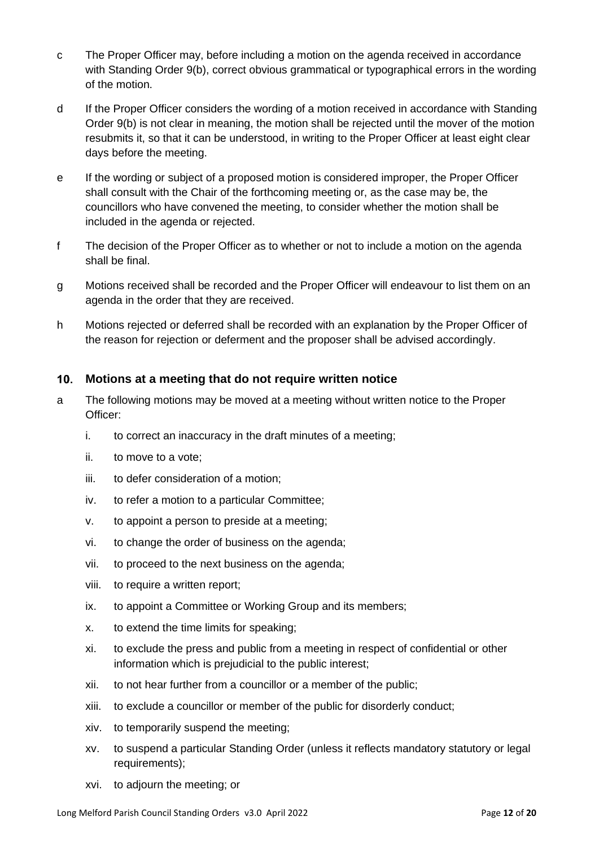- c The Proper Officer may, before including a motion on the agenda received in accordance with Standing Order 9(b), correct obvious grammatical or typographical errors in the wording of the motion.
- d If the Proper Officer considers the wording of a motion received in accordance with Standing Order 9(b) is not clear in meaning, the motion shall be rejected until the mover of the motion resubmits it, so that it can be understood, in writing to the Proper Officer at least eight clear days before the meeting.
- e If the wording or subject of a proposed motion is considered improper, the Proper Officer shall consult with the Chair of the forthcoming meeting or, as the case may be, the councillors who have convened the meeting, to consider whether the motion shall be included in the agenda or rejected.
- f The decision of the Proper Officer as to whether or not to include a motion on the agenda shall be final.
- g Motions received shall be recorded and the Proper Officer will endeavour to list them on an agenda in the order that they are received.
- h Motions rejected or deferred shall be recorded with an explanation by the Proper Officer of the reason for rejection or deferment and the proposer shall be advised accordingly.

#### <span id="page-11-0"></span>**Motions at a meeting that do not require written notice**   $10.$

- a The following motions may be moved at a meeting without written notice to the Proper Officer:
	- i. to correct an inaccuracy in the draft minutes of a meeting;
	- ii. to move to a vote;
	- iii. to defer consideration of a motion;
	- iv. to refer a motion to a particular Committee;
	- v. to appoint a person to preside at a meeting;
	- vi. to change the order of business on the agenda;
	- vii. to proceed to the next business on the agenda;
	- viii. to require a written report;
	- ix. to appoint a Committee or Working Group and its members;
	- x. to extend the time limits for speaking;
	- xi. to exclude the press and public from a meeting in respect of confidential or other information which is prejudicial to the public interest;
	- xii. to not hear further from a councillor or a member of the public;
	- xiii. to exclude a councillor or member of the public for disorderly conduct;
	- xiv. to temporarily suspend the meeting;
	- xv. to suspend a particular Standing Order (unless it reflects mandatory statutory or legal requirements);
	- xvi. to adjourn the meeting; or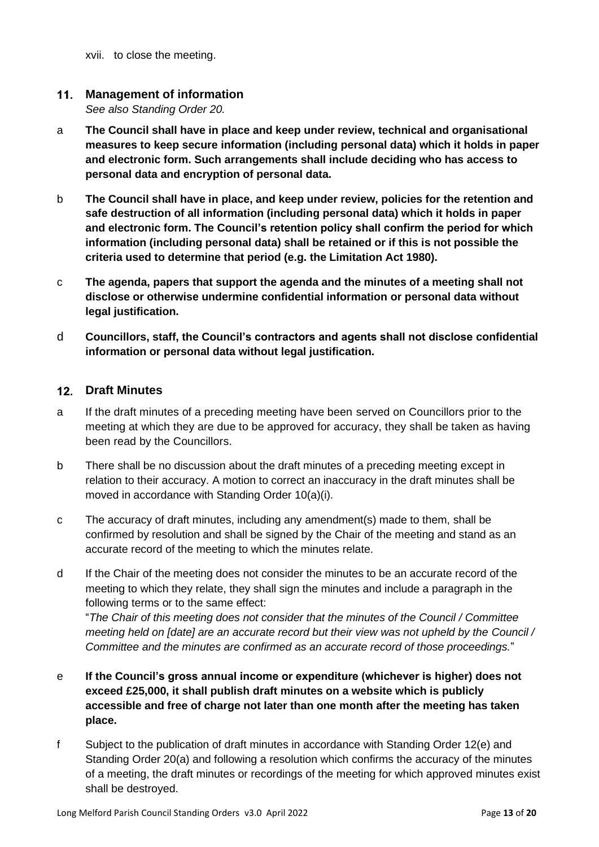xvii. to close the meeting.

#### <span id="page-12-0"></span> $11.$ **Management of information**

*See also Standing Order 20.*

- a **The Council shall have in place and keep under review, technical and organisational measures to keep secure information (including personal data) which it holds in paper and electronic form. Such arrangements shall include deciding who has access to personal data and encryption of personal data.**
- b **The Council shall have in place, and keep under review, policies for the retention and safe destruction of all information (including personal data) which it holds in paper and electronic form. The Council's retention policy shall confirm the period for which information (including personal data) shall be retained or if this is not possible the criteria used to determine that period (e.g. the Limitation Act 1980).**
- c **The agenda, papers that support the agenda and the minutes of a meeting shall not disclose or otherwise undermine confidential information or personal data without legal justification.**
- d **Councillors, staff, the Council's contractors and agents shall not disclose confidential information or personal data without legal justification.**

# **Draft Minutes**

- a If the draft minutes of a preceding meeting have been served on Councillors prior to the meeting at which they are due to be approved for accuracy, they shall be taken as having been read by the Councillors.
- b There shall be no discussion about the draft minutes of a preceding meeting except in relation to their accuracy. A motion to correct an inaccuracy in the draft minutes shall be moved in accordance with Standing Order 10(a)(i).
- c The accuracy of draft minutes, including any amendment(s) made to them, shall be confirmed by resolution and shall be signed by the Chair of the meeting and stand as an accurate record of the meeting to which the minutes relate.
- d If the Chair of the meeting does not consider the minutes to be an accurate record of the meeting to which they relate, they shall sign the minutes and include a paragraph in the following terms or to the same effect:

"*The Chair of this meeting does not consider that the minutes of the Council / Committee meeting held on [date] are an accurate record but their view was not upheld by the Council / Committee and the minutes are confirmed as an accurate record of those proceedings.*"

- e **If the Council's gross annual income or expenditure (whichever is higher) does not exceed £25,000, it shall publish draft minutes on a website which is publicly accessible and free of charge not later than one month after the meeting has taken place.**
- f Subject to the publication of draft minutes in accordance with Standing Order 12(e) and Standing Order 20(a) and following a resolution which confirms the accuracy of the minutes of a meeting, the draft minutes or recordings of the meeting for which approved minutes exist shall be destroyed.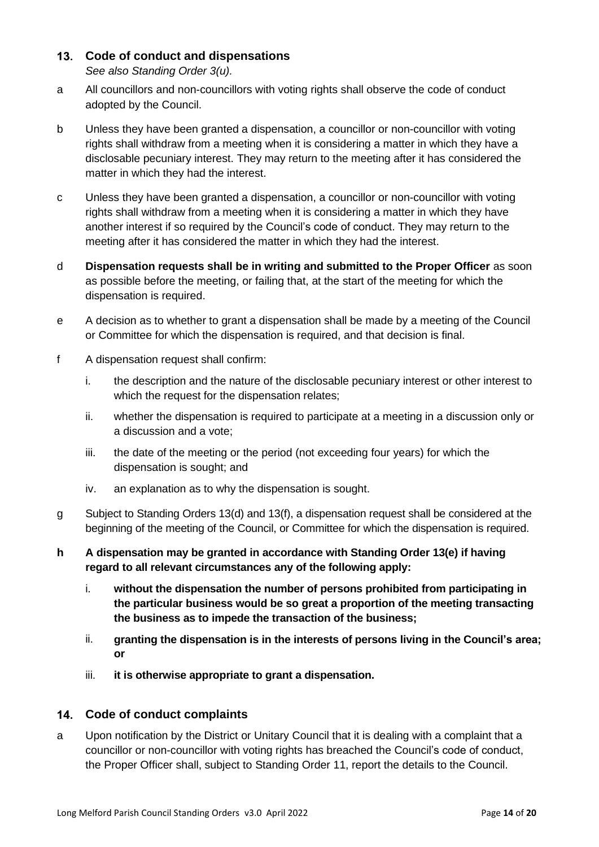# <span id="page-13-0"></span>**Code of conduct and dispensations**

*See also Standing Order 3(u).*

- a All councillors and non-councillors with voting rights shall observe the code of conduct adopted by the Council.
- b Unless they have been granted a dispensation, a councillor or non-councillor with voting rights shall withdraw from a meeting when it is considering a matter in which they have a disclosable pecuniary interest. They may return to the meeting after it has considered the matter in which they had the interest.
- c Unless they have been granted a dispensation, a councillor or non-councillor with voting rights shall withdraw from a meeting when it is considering a matter in which they have another interest if so required by the Council's code of conduct. They may return to the meeting after it has considered the matter in which they had the interest.
- d **Dispensation requests shall be in writing and submitted to the Proper Officer** as soon as possible before the meeting, or failing that, at the start of the meeting for which the dispensation is required.
- e A decision as to whether to grant a dispensation shall be made by a meeting of the Council or Committee for which the dispensation is required, and that decision is final.
- f A dispensation request shall confirm:
	- i. the description and the nature of the disclosable pecuniary interest or other interest to which the request for the dispensation relates;
	- ii. whether the dispensation is required to participate at a meeting in a discussion only or a discussion and a vote;
	- iii. the date of the meeting or the period (not exceeding four years) for which the dispensation is sought; and
	- iv. an explanation as to why the dispensation is sought.
- g Subject to Standing Orders 13(d) and 13(f), a dispensation request shall be considered at the beginning of the meeting of the Council, or Committee for which the dispensation is required.
- **h A dispensation may be granted in accordance with Standing Order 13(e) if having regard to all relevant circumstances any of the following apply:**
	- i. **without the dispensation the number of persons prohibited from participating in the particular business would be so great a proportion of the meeting transacting the business as to impede the transaction of the business;**
	- ii. **granting the dispensation is in the interests of persons living in the Council's area; or**
	- iii. **it is otherwise appropriate to grant a dispensation.**

# <span id="page-13-1"></span>**Code of conduct complaints**

a Upon notification by the District or Unitary Council that it is dealing with a complaint that a councillor or non-councillor with voting rights has breached the Council's code of conduct, the Proper Officer shall, subject to Standing Order 11, report the details to the Council.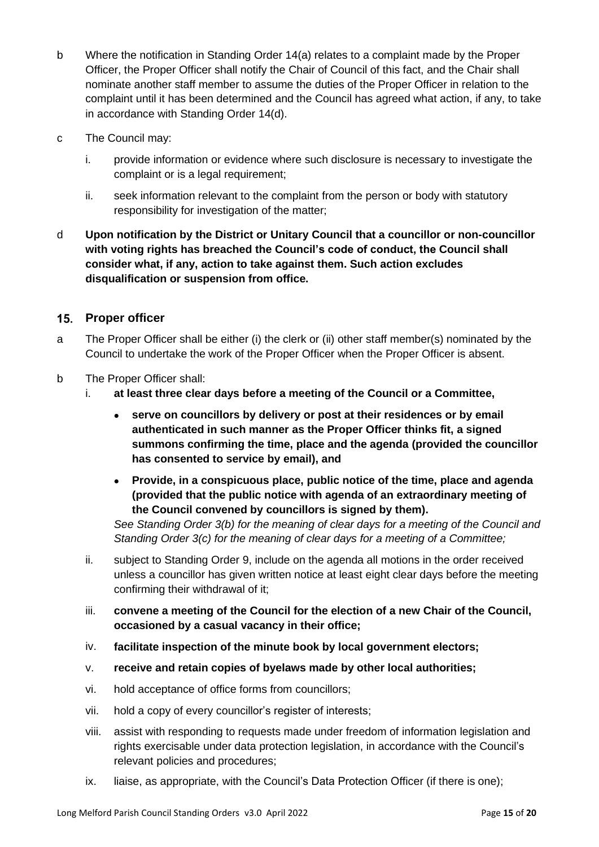- b Where the notification in Standing Order 14(a) relates to a complaint made by the Proper Officer, the Proper Officer shall notify the Chair of Council of this fact, and the Chair shall nominate another staff member to assume the duties of the Proper Officer in relation to the complaint until it has been determined and the Council has agreed what action, if any, to take in accordance with Standing Order 14(d).
- c The Council may:
	- i. provide information or evidence where such disclosure is necessary to investigate the complaint or is a legal requirement;
	- ii. seek information relevant to the complaint from the person or body with statutory responsibility for investigation of the matter;
- d **Upon notification by the District or Unitary Council that a councillor or non-councillor with voting rights has breached the Council's code of conduct, the Council shall consider what, if any, action to take against them. Such action excludes disqualification or suspension from office.**

# <span id="page-14-0"></span>**Proper officer**

- a The Proper Officer shall be either (i) the clerk or (ii) other staff member(s) nominated by the Council to undertake the work of the Proper Officer when the Proper Officer is absent.
- b The Proper Officer shall:
	- i. **at least three clear days before a meeting of the Council or a Committee,**
		- **serve on councillors by delivery or post at their residences or by email authenticated in such manner as the Proper Officer thinks fit, a signed summons confirming the time, place and the agenda (provided the councillor has consented to service by email), and**
		- **Provide, in a conspicuous place, public notice of the time, place and agenda (provided that the public notice with agenda of an extraordinary meeting of the Council convened by councillors is signed by them).**

*See Standing Order 3(b) for the meaning of clear days for a meeting of the Council and Standing Order 3(c) for the meaning of clear days for a meeting of a Committee;*

- ii. subject to Standing Order 9, include on the agenda all motions in the order received unless a councillor has given written notice at least eight clear days before the meeting confirming their withdrawal of it;
- iii. **convene a meeting of the Council for the election of a new Chair of the Council, occasioned by a casual vacancy in their office;**
- iv. **facilitate inspection of the minute book by local government electors;**
- v. **receive and retain copies of byelaws made by other local authorities;**
- vi. hold acceptance of office forms from councillors;
- vii. hold a copy of every councillor's register of interests;
- viii. assist with responding to requests made under freedom of information legislation and rights exercisable under data protection legislation, in accordance with the Council's relevant policies and procedures;
- ix. liaise, as appropriate, with the Council's Data Protection Officer (if there is one);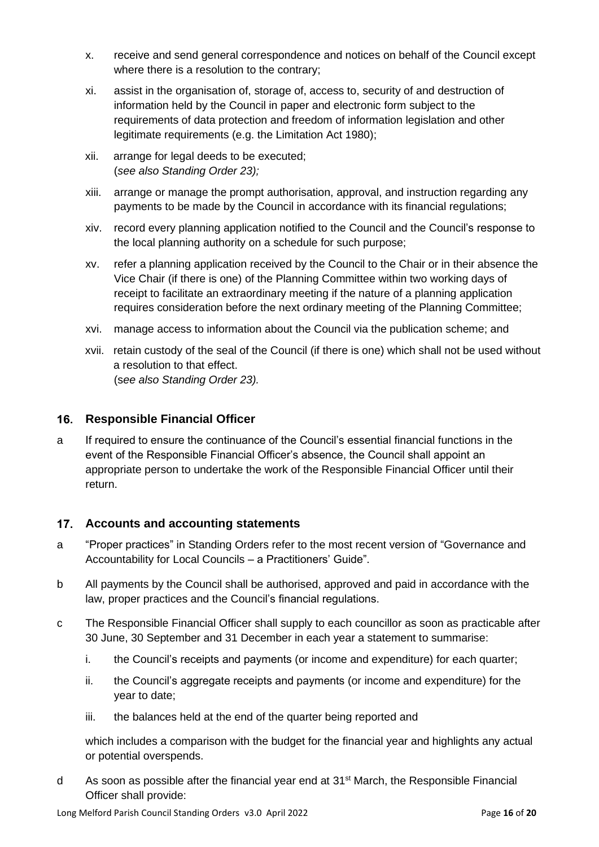- x. receive and send general correspondence and notices on behalf of the Council except where there is a resolution to the contrary;
- xi. assist in the organisation of, storage of, access to, security of and destruction of information held by the Council in paper and electronic form subject to the requirements of data protection and freedom of information legislation and other legitimate requirements (e.g. the Limitation Act 1980);
- xii. arrange for legal deeds to be executed; (*see also Standing Order 23);*
- xiii. arrange or manage the prompt authorisation, approval, and instruction regarding any payments to be made by the Council in accordance with its financial regulations;
- xiv. record every planning application notified to the Council and the Council's response to the local planning authority on a schedule for such purpose;
- xv. refer a planning application received by the Council to the Chair or in their absence the Vice Chair (if there is one) of the Planning Committee within two working days of receipt to facilitate an extraordinary meeting if the nature of a planning application requires consideration before the next ordinary meeting of the Planning Committee;
- xvi. manage access to information about the Council via the publication scheme; and
- xvii. retain custody of the seal of the Council (if there is one) which shall not be used without a resolution to that effect. (s*ee also Standing Order 23).*

# <span id="page-15-0"></span>**Responsible Financial Officer**

a If required to ensure the continuance of the Council's essential financial functions in the event of the Responsible Financial Officer's absence, the Council shall appoint an appropriate person to undertake the work of the Responsible Financial Officer until their return.

# <span id="page-15-1"></span>**Accounts and accounting statements**

- a "Proper practices" in Standing Orders refer to the most recent version of "Governance and Accountability for Local Councils – a Practitioners' Guide".
- b All payments by the Council shall be authorised, approved and paid in accordance with the law, proper practices and the Council's financial regulations.
- c The Responsible Financial Officer shall supply to each councillor as soon as practicable after 30 June, 30 September and 31 December in each year a statement to summarise:
	- i. the Council's receipts and payments (or income and expenditure) for each quarter;
	- ii. the Council's aggregate receipts and payments (or income and expenditure) for the year to date;
	- iii. the balances held at the end of the quarter being reported and

which includes a comparison with the budget for the financial year and highlights any actual or potential overspends.

d As soon as possible after the financial year end at 31st March, the Responsible Financial Officer shall provide: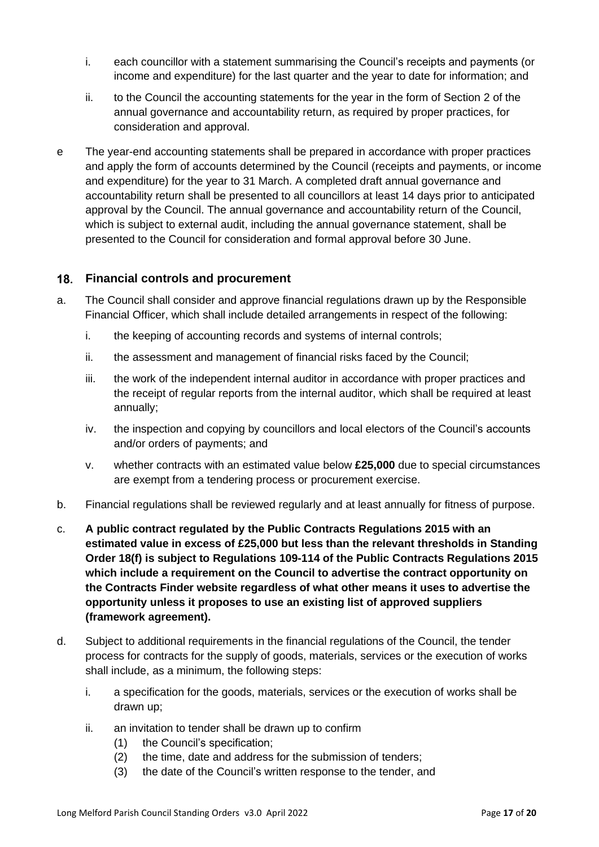- i. each councillor with a statement summarising the Council's receipts and payments (or income and expenditure) for the last quarter and the year to date for information; and
- ii. to the Council the accounting statements for the year in the form of Section 2 of the annual governance and accountability return, as required by proper practices, for consideration and approval.
- e The year-end accounting statements shall be prepared in accordance with proper practices and apply the form of accounts determined by the Council (receipts and payments, or income and expenditure) for the year to 31 March. A completed draft annual governance and accountability return shall be presented to all councillors at least 14 days prior to anticipated approval by the Council. The annual governance and accountability return of the Council, which is subject to external audit, including the annual governance statement, shall be presented to the Council for consideration and formal approval before 30 June.

# <span id="page-16-0"></span>**Financial controls and procurement**

- a. The Council shall consider and approve financial regulations drawn up by the Responsible Financial Officer, which shall include detailed arrangements in respect of the following:
	- i. the keeping of accounting records and systems of internal controls;
	- ii. the assessment and management of financial risks faced by the Council;
	- iii. the work of the independent internal auditor in accordance with proper practices and the receipt of regular reports from the internal auditor, which shall be required at least annually;
	- iv. the inspection and copying by councillors and local electors of the Council's accounts and/or orders of payments; and
	- v. whether contracts with an estimated value below **£25,000** due to special circumstances are exempt from a tendering process or procurement exercise.
- b. Financial regulations shall be reviewed regularly and at least annually for fitness of purpose.
- c. **A public contract regulated by the Public Contracts Regulations 2015 with an estimated value in excess of £25,000 but less than the relevant thresholds in Standing Order 18(f) is subject to Regulations 109-114 of the Public Contracts Regulations 2015 which include a requirement on the Council to advertise the contract opportunity on the Contracts Finder website regardless of what other means it uses to advertise the opportunity unless it proposes to use an existing list of approved suppliers (framework agreement).**
- d. Subject to additional requirements in the financial regulations of the Council, the tender process for contracts for the supply of goods, materials, services or the execution of works shall include, as a minimum, the following steps:
	- i. a specification for the goods, materials, services or the execution of works shall be drawn up;
	- ii. an invitation to tender shall be drawn up to confirm
		- (1) the Council's specification;
		- (2) the time, date and address for the submission of tenders;
		- (3) the date of the Council's written response to the tender, and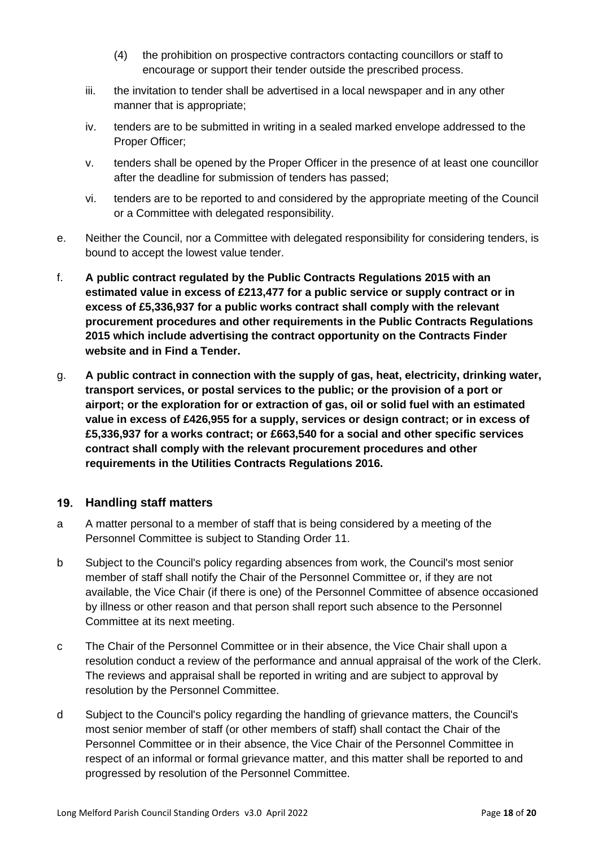- (4) the prohibition on prospective contractors contacting councillors or staff to encourage or support their tender outside the prescribed process.
- iii. the invitation to tender shall be advertised in a local newspaper and in any other manner that is appropriate;
- iv. tenders are to be submitted in writing in a sealed marked envelope addressed to the Proper Officer;
- v. tenders shall be opened by the Proper Officer in the presence of at least one councillor after the deadline for submission of tenders has passed;
- vi. tenders are to be reported to and considered by the appropriate meeting of the Council or a Committee with delegated responsibility.
- e. Neither the Council, nor a Committee with delegated responsibility for considering tenders, is bound to accept the lowest value tender.
- f. **A public contract regulated by the Public Contracts Regulations 2015 with an estimated value in excess of £213,477 for a public service or supply contract or in excess of £5,336,937 for a public works contract shall comply with the relevant procurement procedures and other requirements in the Public Contracts Regulations 2015 which include advertising the contract opportunity on the Contracts Finder website and in Find a Tender.**
- g. **A public contract in connection with the supply of gas, heat, electricity, drinking water, transport services, or postal services to the public; or the provision of a port or airport; or the exploration for or extraction of gas, oil or solid fuel with an estimated value in excess of £426,955 for a supply, services or design contract; or in excess of £5,336,937 for a works contract; or £663,540 for a social and other specific services contract shall comply with the relevant procurement procedures and other requirements in the Utilities Contracts Regulations 2016.**

# <span id="page-17-0"></span>**Handling staff matters**

- a A matter personal to a member of staff that is being considered by a meeting of the Personnel Committee is subject to Standing Order 11.
- b Subject to the Council's policy regarding absences from work, the Council's most senior member of staff shall notify the Chair of the Personnel Committee or, if they are not available, the Vice Chair (if there is one) of the Personnel Committee of absence occasioned by illness or other reason and that person shall report such absence to the Personnel Committee at its next meeting.
- c The Chair of the Personnel Committee or in their absence, the Vice Chair shall upon a resolution conduct a review of the performance and annual appraisal of the work of the Clerk. The reviews and appraisal shall be reported in writing and are subject to approval by resolution by the Personnel Committee.
- d Subject to the Council's policy regarding the handling of grievance matters, the Council's most senior member of staff (or other members of staff) shall contact the Chair of the Personnel Committee or in their absence, the Vice Chair of the Personnel Committee in respect of an informal or formal grievance matter, and this matter shall be reported to and progressed by resolution of the Personnel Committee.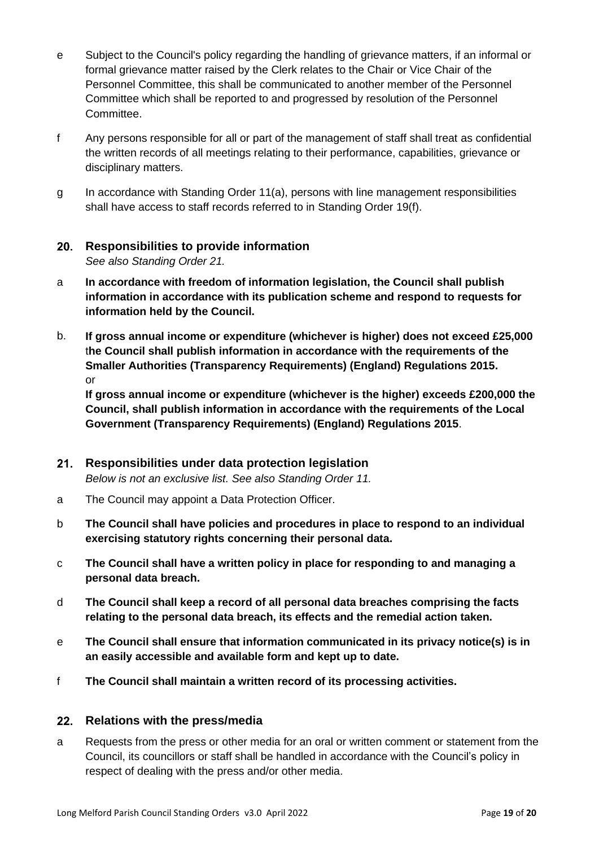- e Subject to the Council's policy regarding the handling of grievance matters, if an informal or formal grievance matter raised by the Clerk relates to the Chair or Vice Chair of the Personnel Committee, this shall be communicated to another member of the Personnel Committee which shall be reported to and progressed by resolution of the Personnel Committee.
- f Any persons responsible for all or part of the management of staff shall treat as confidential the written records of all meetings relating to their performance, capabilities, grievance or disciplinary matters.
- g In accordance with Standing Order 11(a), persons with line management responsibilities shall have access to staff records referred to in Standing Order 19(f).

# <span id="page-18-0"></span>**Responsibilities to provide information**

*See also Standing Order 21.*

- a **In accordance with freedom of information legislation, the Council shall publish information in accordance with its publication scheme and respond to requests for information held by the Council.**
- b. **If gross annual income or expenditure (whichever is higher) does not exceed £25,000** t**he Council shall publish information in accordance with the requirements of the Smaller Authorities (Transparency Requirements) (England) Regulations 2015.** or

**If gross annual income or expenditure (whichever is the higher) exceeds £200,000 the Council, shall publish information in accordance with the requirements of the Local Government (Transparency Requirements) (England) Regulations 2015**.

#### <span id="page-18-1"></span> $21.$ **Responsibilities under data protection legislation**

*Below is not an exclusive list. See also Standing Order 11.*

- a The Council may appoint a Data Protection Officer.
- b **The Council shall have policies and procedures in place to respond to an individual exercising statutory rights concerning their personal data.**
- c **The Council shall have a written policy in place for responding to and managing a personal data breach.**
- d **The Council shall keep a record of all personal data breaches comprising the facts relating to the personal data breach, its effects and the remedial action taken.**
- e **The Council shall ensure that information communicated in its privacy notice(s) is in an easily accessible and available form and kept up to date.**
- f **The Council shall maintain a written record of its processing activities.**

# <span id="page-18-2"></span>**Relations with the press/media**

a Requests from the press or other media for an oral or written comment or statement from the Council, its councillors or staff shall be handled in accordance with the Council's policy in respect of dealing with the press and/or other media.